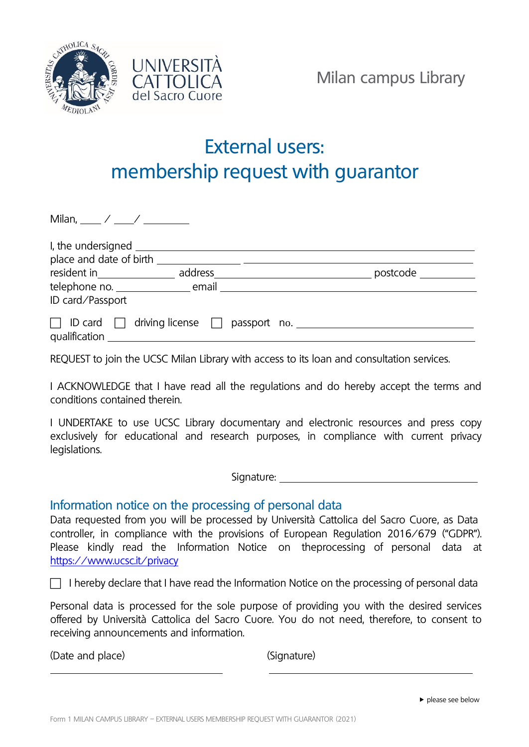



## External users: membership request with guarantor

| Milan, $\_\_\_\_\_\_\_\_\_\_\_\_\_\_\_\_\_\_\_\_\_\_\_\_\_\_\_\_\_\_\_$ |                                                                                                                |          |
|-------------------------------------------------------------------------|----------------------------------------------------------------------------------------------------------------|----------|
|                                                                         | I, the undersigned and the unit of the unit of the unit of the unit of the unit of the unit of the unit of the |          |
| place and date of birth                                                 |                                                                                                                |          |
| resident in________________                                             | address____                                                                                                    | postcode |
|                                                                         |                                                                                                                |          |
| ID card/Passport                                                        |                                                                                                                |          |
| qualification                                                           | $\Box$ ID card $\Box$ driving license $\Box$ passport no.                                                      |          |

REQUEST to join the UCSC Milan Library with access to its loan and consultation services.

I ACKNOWLEDGE that I have read all the regulations and do hereby accept the terms and conditions contained therein.

I UNDERTAKE to use UCSC Library documentary and electronic resources and press copy exclusively for educational and research purposes, in compliance with current privacy legislations.

Signature:

## Information notice on the processing of personal data

Data requested from you will be processed by Università Cattolica del Sacro Cuore, as Data controller, in compliance with the provisions of European Regulation 2016/679 ("GDPR"). Please kindly read the Information Notice on theprocessing of personal data at <https://www.ucsc.it/privacy>

 $\Box$  I hereby declare that I have read the Information Notice on the processing of personal data

Personal data is processed for the sole purpose of providing you with the desired services offered by Università Cattolica del Sacro Cuore. You do not need, therefore, to consent to receiving announcements and information.

(Date and place) (Signature)